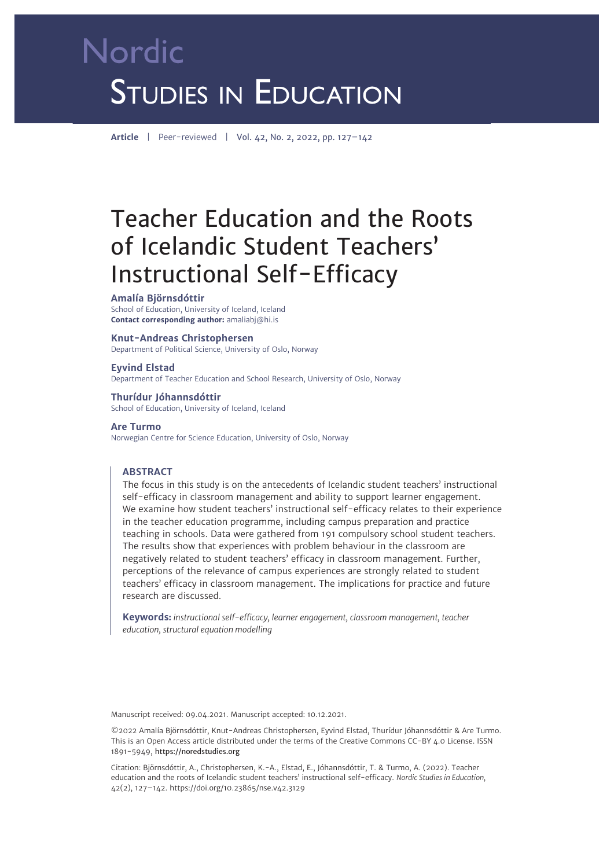# Nordic **STUDIES IN EDUCATION**

**Article** | Peer-reviewed | Vol. 42, No. 2, 2022, pp. 127–142

## Teacher Education and the Roots of Icelandic Student Teachers' Instructional Self-Efficacy

#### **Amalía Björnsdóttir**

School of Education, University of Iceland, Iceland **Contact corresponding author:** [amaliabj@hi.is](mailto:amaliabj@hi.is)

#### **Knut-Andreas Christophersen**

Department of Political Science, University of Oslo, Norway

**Eyvind Elstad** Department of Teacher Education and School Research, University of Oslo, Norway

**Thurídur Jóhannsdóttir** School of Education, University of Iceland, Iceland

#### **Are Turmo**

Norwegian Centre for Science Education, University of Oslo, Norway

#### **ABSTRACT**

The focus in this study is on the antecedents of Icelandic student teachers' instructional self-efficacy in classroom management and ability to support learner engagement. We examine how student teachers' instructional self-efficacy relates to their experience in the teacher education programme, including campus preparation and practice teaching in schools. Data were gathered from 191 compulsory school student teachers. The results show that experiences with problem behaviour in the classroom are negatively related to student teachers' efficacy in classroom management. Further, perceptions of the relevance of campus experiences are strongly related to student teachers' efficacy in classroom management. The implications for practice and future research are discussed.

**Keywords:** *instructional self-efficacy, learner engagement, classroom management, teacher education, structural equation modelling*

Manuscript received: 09.04.2021. Manuscript accepted: 10.12.2021.

©2022 Amalía Björnsdóttir, Knut-Andreas Christophersen, Eyvind Elstad, Thurídur Jóhannsdóttir & Are Turmo. This is an Open Access article distributed under the terms of the Creative Commons CC-BY 4.0 License. ISSN 1891-5949, https://noredstudies.org

Citation: Björnsdóttir, A., Christophersen, K.-A., Elstad, E., Jóhannsdóttir, T. & Turmo, A. (2022). Teacher education and the roots of Icelandic student teachers' instructional self-efficacy. *Nordic Studies in Education,*  42(2), 127–142. [https://doi.org/10.23865/nse.v42.3](https://doi.org/10.23865/nse.v42.3129)129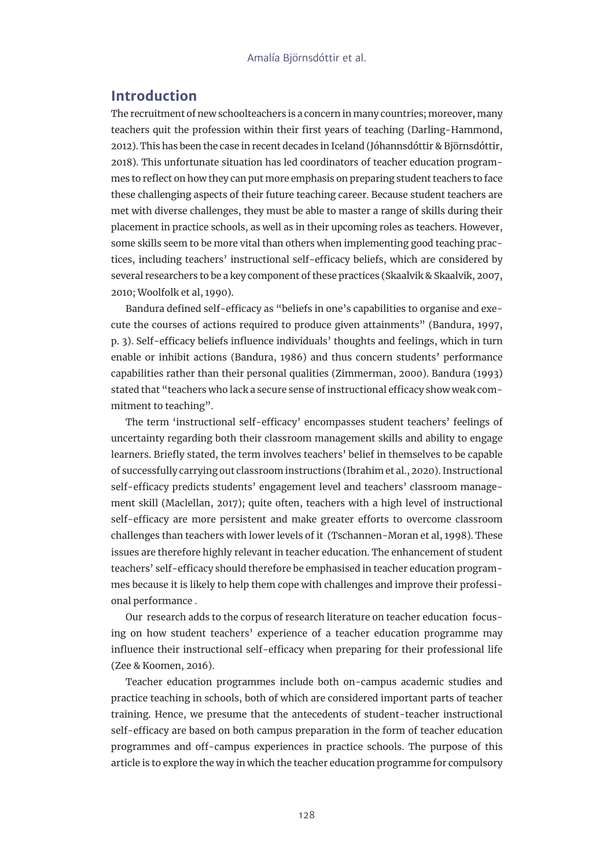## **Introduction**

The recruitment of new schoolteachers is a concern in many countries; moreover, many teachers quit the profession within their first years of teaching (Darling-Hammond, 2012). This has been the case in recent decades in Iceland (Jóhannsdóttir & Björnsdóttir, 2018). This unfortunate situation has led coordinators of teacher education programmes to reflect on how they can put more emphasis on preparing student teachers to face these challenging aspects of their future teaching career. Because student teachers are met with diverse challenges, they must be able to master a range of skills during their placement in practice schools, as well as in their upcoming roles as teachers. However, some skills seem to be more vital than others when implementing good teaching practices, including teachers' instructional self-efficacy beliefs, which are considered by several researchers to be a key component of these practices (Skaalvik & Skaalvik, 2007, 2010; Woolfolk et al, 1990).

Bandura defined self-efficacy as "beliefs in one's capabilities to organise and execute the courses of actions required to produce given attainments" (Bandura, 1997, p. 3). Self-efficacy beliefs influence individuals' thoughts and feelings, which in turn enable or inhibit actions (Bandura, 1986) and thus concern students' performance capabilities rather than their personal qualities (Zimmerman, 2000). Bandura (1993) stated that "teachers who lack a secure sense of instructional efficacy show weak commitment to teaching".

The term 'instructional self-efficacy' encompasses student teachers' feelings of uncertainty regarding both their classroom management skills and ability to engage learners. Briefly stated, the term involves teachers' belief in themselves to be capable of successfully carrying out classroom instructions (Ibrahim et al., 2020). Instructional self-efficacy predicts students' engagement level and teachers' classroom management skill (Maclellan, 2017); quite often, teachers with a high level of instructional self-efficacy are more persistent and make greater efforts to overcome classroom challenges than teachers with lower levels of it (Tschannen-Moran et al, 1998). These issues are therefore highly relevant in teacher education. The enhancement of student teachers' self-efficacy should therefore be emphasised in teacher education programmes because it is likely to help them cope with challenges and improve their professional performance .

Our research adds to the corpus of research literature on teacher education focusing on how student teachers' experience of a teacher education programme may influence their instructional self-efficacy when preparing for their professional life (Zee & Koomen, 2016).

Teacher education programmes include both on-campus academic studies and practice teaching in schools, both of which are considered important parts of teacher training. Hence, we presume that the antecedents of student-teacher instructional self-efficacy are based on both campus preparation in the form of teacher education programmes and off-campus experiences in practice schools. The purpose of this article is to explore the way in which the teacher education programme for compulsory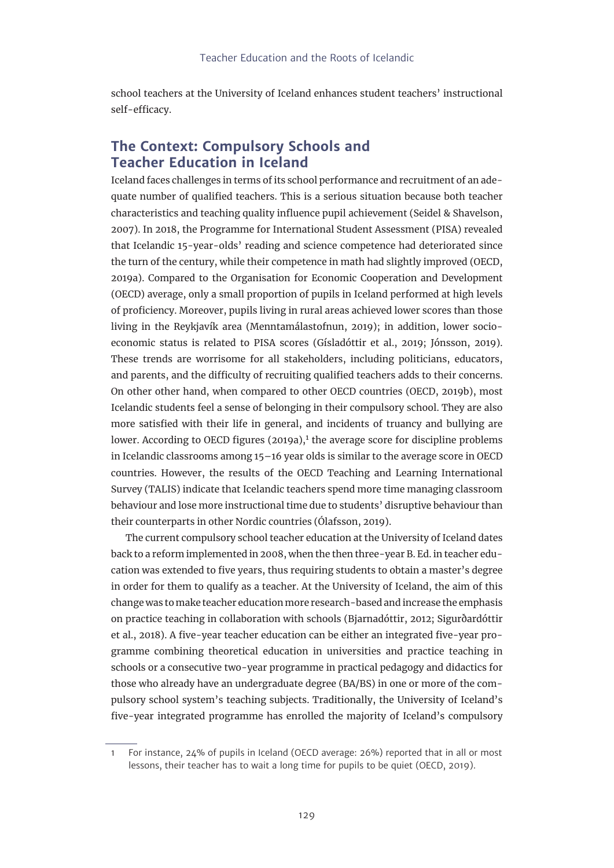school teachers at the University of Iceland enhances student teachers' instructional self-efficacy.

## **The Context: Compulsory Schools and Teacher Education in Iceland**

Iceland faces challenges in terms of its school performance and recruitment of an adequate number of qualified teachers. This is a serious situation because both teacher characteristics and teaching quality influence pupil achievement (Seidel & Shavelson, 2007). In 2018, the Programme for International Student Assessment (PISA) revealed that Icelandic 15-year-olds' reading and science competence had deteriorated since the turn of the century, while their competence in math had slightly improved (OECD, 2019a). Compared to the Organisation for Economic Cooperation and Development (OECD) average, only a small proportion of pupils in Iceland performed at high levels of proficiency. Moreover, pupils living in rural areas achieved lower scores than those living in the Reykjavík area (Menntamálastofnun, 2019); in addition, lower socioeconomic status is related to PISA scores (Gísladóttir et al., 2019; Jónsson, 2019). These trends are worrisome for all stakeholders, including politicians, educators, and parents, and the difficulty of recruiting qualified teachers adds to their concerns. On other other hand, when compared to other OECD countries (OECD, 2019b), most Icelandic students feel a sense of belonging in their compulsory school. They are also more satisfied with their life in general, and incidents of truancy and bullying are lower. According to OECD figures  $(2019a)^1$ , the average score for discipline problems in Icelandic classrooms among 15–16 year olds is similar to the average score in OECD countries. However, the results of [the OECD Teaching and Learning International](https://www.oecd.org/education/talis/)  [Survey](https://www.oecd.org/education/talis/) (TALIS) indicate that Icelandic teachers spend more time managing classroom behaviour and lose more instructional time due to students' disruptive behaviour than their counterparts in other Nordic countries (Ólafsson, 2019).

The current compulsory school teacher education at the University of Iceland dates back to a reform implemented in 2008, when the then three-year B. Ed. in teacher education was extended to five years, thus requiring students to obtain a master's degree in order for them to qualify as a teacher. At the University of Iceland, the aim of this change was to make teacher education more research-based and increase the emphasis on practice teaching in collaboration with schools (Bjarnadóttir, 2012; Sigurðardóttir et al., 2018). A five-year teacher education can be either an integrated five-year programme combining theoretical education in universities and practice teaching in schools or a consecutive two-year programme in practical pedagogy and didactics for those who already have an undergraduate degree (BA/BS) in one or more of the compulsory school system's teaching subjects. Traditionally, the University of Iceland's five-year integrated programme has enrolled the majority of Iceland's compulsory

<sup>1</sup> For instance, 24% of pupils in Iceland (OECD average: 26%) reported that in all or most lessons, their teacher has to wait a long time for pupils to be quiet (OECD, 2019).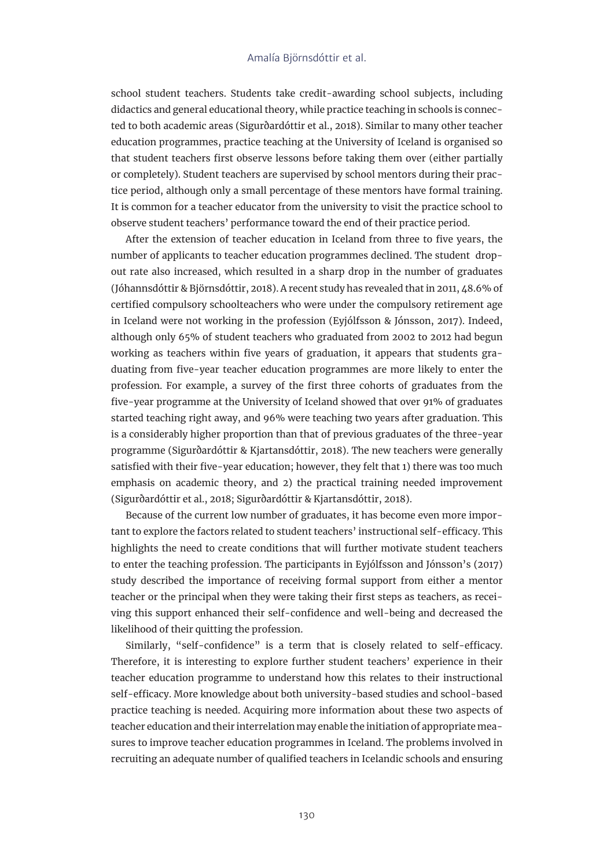school student teachers. Students take credit-awarding school subjects, including didactics and general educational theory, while practice teaching in schools is connected to both academic areas (Sigurðardóttir et al., 2018). Similar to many other teacher education programmes, practice teaching at the University of Iceland is organised so that student teachers first observe lessons before taking them over (either partially or completely). Student teachers are supervised by school mentors during their practice period, although only a small percentage of these mentors have formal training. It is common for a teacher educator from the university to visit the practice school to observe student teachers' performance toward the end of their practice period.

After the extension of teacher education in Iceland from three to five years, the number of applicants to teacher education programmes declined. The student dropout rate also increased, which resulted in a sharp drop in the number of graduates (Jóhannsdóttir & Björnsdóttir, 2018). A recent study has revealed that in 2011, 48.6% of certified compulsory schoolteachers who were under the compulsory retirement age in Iceland were not working in the profession (Eyjólfsson & Jónsson, 2017). Indeed, although only 65% of student teachers who graduated from 2002 to 2012 had begun working as teachers within five years of graduation, it appears that students graduating from five-year teacher education programmes are more likely to enter the profession. For example, a survey of the first three cohorts of graduates from the five-year programme at the University of Iceland showed that over 91% of graduates started teaching right away, and 96% were teaching two years after graduation. This is a considerably higher proportion than that of previous graduates of the three-year programme (Sigurðardóttir & Kjartansdóttir, 2018). The new teachers were generally satisfied with their five-year education; however, they felt that 1) there was too much emphasis on academic theory, and 2) the practical training needed improvement (Sigurðardóttir et al., 2018; Sigurðardóttir & Kjartansdóttir, 2018).

Because of the current low number of graduates, it has become even more important to explore the factors related to student teachers' instructional self-efficacy. This highlights the need to create conditions that will further motivate student teachers to enter the teaching profession. The participants in Eyjólfsson and Jónsson's (2017) study described the importance of receiving formal support from either a mentor teacher or the principal when they were taking their first steps as teachers, as receiving this support enhanced their self-confidence and well-being and decreased the likelihood of their quitting the profession.

Similarly, "self-confidence" is a term that is closely related to self-efficacy. Therefore, it is interesting to explore further student teachers' experience in their teacher education programme to understand how this relates to their instructional self-efficacy. More knowledge about both university-based studies and school-based practice teaching is needed. Acquiring more information about these two aspects of teacher education and their interrelation may enable the initiation of appropriate measures to improve teacher education programmes in Iceland. The problems involved in recruiting an adequate number of qualified teachers in Icelandic schools and ensuring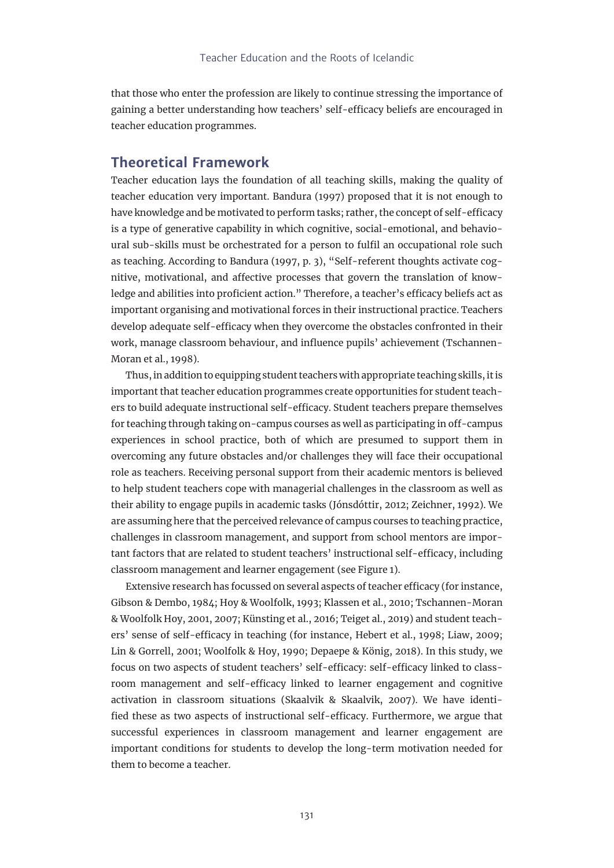that those who enter the profession are likely to continue stressing the importance of gaining a better understanding how teachers' self-efficacy beliefs are encouraged in teacher education programmes.

### **Theoretical Framework**

Teacher education lays the foundation of all teaching skills, making the quality of teacher education very important. Bandura (1997) proposed that it is not enough to have knowledge and be motivated to perform tasks; rather, the concept of self-efficacy is a type of generative capability in which cognitive, social-emotional, and behavioural sub-skills must be orchestrated for a person to fulfil an occupational role such as teaching. According to Bandura (1997, p. 3), "Self-referent thoughts activate cognitive, motivational, and affective processes that govern the translation of knowledge and abilities into proficient action." Therefore, a teacher's efficacy beliefs act as important organising and motivational forces in their instructional practice. Teachers develop adequate self-efficacy when they overcome the obstacles confronted in their work, manage classroom behaviour, and influence pupils' achievement (Tschannen-Moran et al., 1998).

Thus, in addition to equipping student teachers with appropriate teaching skills, it is important that teacher education programmes create opportunities for student teachers to build adequate instructional self-efficacy. Student teachers prepare themselves for teaching through taking on-campus courses as well as participating in off-campus experiences in school practice, both of which are presumed to support them in overcoming any future obstacles and/or challenges they will face their occupational role as teachers. Receiving personal support from their academic mentors is believed to help student teachers cope with managerial challenges in the classroom as well as their ability to engage pupils in academic tasks (Jónsdóttir, 2012; Zeichner, 1992). We are assuming here that the perceived relevance of campus courses to teaching practice, challenges in classroom management, and support from school mentors are important factors that are related to student teachers' instructional self-efficacy, including classroom management and learner engagement (see Figure 1).

Extensive research has focussed on several aspects of teacher efficacy (for instance, Gibson & Dembo, 1984; Hoy & Woolfolk, 1993; Klassen et al., 2010; Tschannen-Moran & Woolfolk Hoy, 2001, 2007; Künsting et al., 2016; Teiget al., 2019) and student teachers' sense of self-efficacy in teaching (for instance, Hebert et al., 1998; Liaw, 2009; Lin & Gorrell, 2001; Woolfolk & Hoy, 1990; Depaepe & König, 2018). In this study, we focus on two aspects of student teachers' self-efficacy: self-efficacy linked to classroom management and self-efficacy linked to learner engagement and cognitive activation in classroom situations (Skaalvik & Skaalvik, 2007). We have identified these as two aspects of instructional self-efficacy. Furthermore, we argue that successful experiences in classroom management and learner engagement are important conditions for students to develop the long-term motivation needed for them to become a teacher.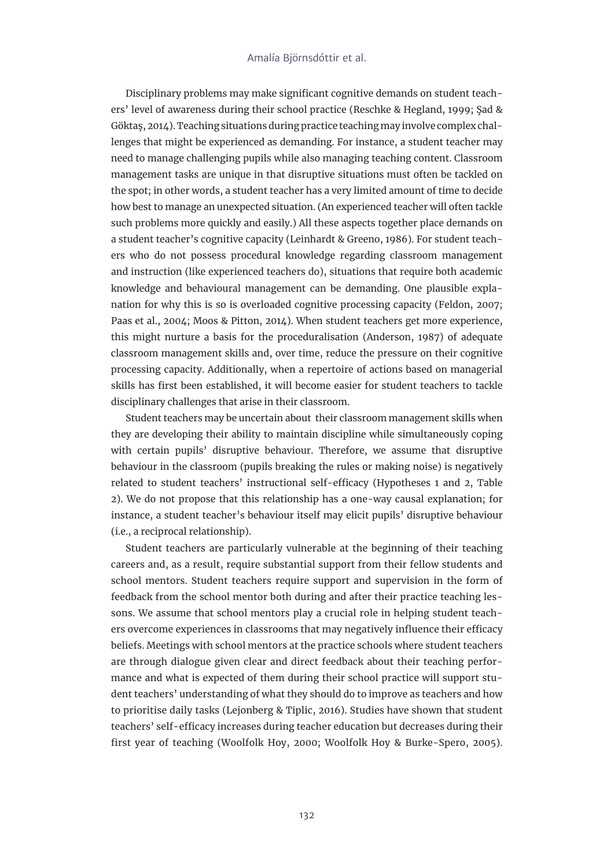Disciplinary problems may make significant cognitive demands on student teachers' level of awareness during their school practice (Reschke & Hegland, 1999; Şad & Göktaş, 2014). Teaching situations during practice teaching may involve complex challenges that might be experienced as demanding. For instance, a student teacher may need to manage challenging pupils while also managing teaching content. Classroom management tasks are unique in that disruptive situations must often be tackled on the spot; in other words, a student teacher has a very limited amount of time to decide how best to manage an unexpected situation. (An experienced teacher will often tackle such problems more quickly and easily.) All these aspects together place demands on a student teacher's cognitive capacity (Leinhardt & Greeno, 1986). For student teachers who do not possess procedural knowledge regarding classroom management and instruction (like experienced teachers do), situations that require both academic knowledge and behavioural management can be demanding. One plausible explanation for why this is so is overloaded cognitive processing capacity (Feldon, 2007; Paas et al., 2004; Moos & Pitton, 2014). When student teachers get more experience, this might nurture a basis for the proceduralisation (Anderson, 1987) of adequate classroom management skills and, over time, reduce the pressure on their cognitive processing capacity. Additionally, when a repertoire of actions based on managerial skills has first been established, it will become easier for student teachers to tackle disciplinary challenges that arise in their classroom.

Student teachers may be uncertain about their classroom management skills when they are developing their ability to maintain discipline while simultaneously coping with certain pupils' disruptive behaviour. Therefore, we assume that disruptive behaviour in the classroom (pupils breaking the rules or making noise) is negatively related to student teachers' instructional self-efficacy (Hypotheses 1 and 2, Table 2). We do not propose that this relationship has a one-way causal explanation; for instance, a student teacher's behaviour itself may elicit pupils' disruptive behaviour (i.e., a reciprocal relationship).

Student teachers are particularly vulnerable at the beginning of their teaching careers and, as a result, require substantial support from their fellow students and school mentors. Student teachers require support and supervision in the form of feedback from the school mentor both during and after their practice teaching lessons. We assume that school mentors play a crucial role in helping student teachers overcome experiences in classrooms that may negatively influence their efficacy beliefs. Meetings with school mentors at the practice schools where student teachers are through dialogue given clear and direct feedback about their teaching performance and what is expected of them during their school practice will support student teachers' understanding of what they should do to improve as teachers and how to prioritise daily tasks (Lejonberg & Tiplic, 2016). Studies have shown that student teachers' self-efficacy increases during teacher education but decreases during their first year of teaching (Woolfolk Hoy, 2000; Woolfolk Hoy & Burke-Spero, 2005).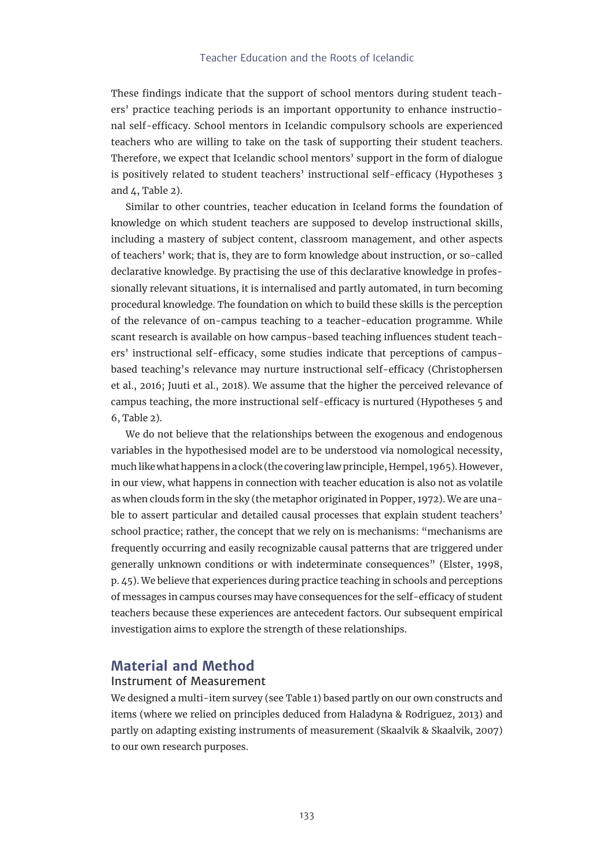#### Teacher Education and the Roots of Icelandic

These findings indicate that the support of school mentors during student teachers' practice teaching periods is an important opportunity to enhance instructional self-efficacy. School mentors in Icelandic compulsory schools are experienced teachers who are willing to take on the task of supporting their student teachers. Therefore, we expect that Icelandic school mentors' support in the form of dialogue is positively related to student teachers' instructional self-efficacy (Hypotheses 3 and  $\Delta$ , Table 2).

Similar to other countries, teacher education in Iceland forms the foundation of knowledge on which student teachers are supposed to develop instructional skills, including a mastery of subject content, classroom management, and other aspects of teachers' work; that is, they are to form knowledge about instruction, or so-called declarative knowledge. By practising the use of this declarative knowledge in professionally relevant situations, it is internalised and partly automated, in turn becoming procedural knowledge. The foundation on which to build these skills is the perception of the relevance of on-campus teaching to a teacher-education programme. While scant research is available on how campus-based teaching influences student teachers' instructional self-efficacy, some studies indicate that perceptions of campusbased teaching's relevance may nurture instructional self-efficacy (Christophersen et al., 2016; Juuti et al., 2018). We assume that the higher the perceived relevance of campus teaching, the more instructional self-efficacy is nurtured (Hypotheses 5 and 6, Table 2).

We do not believe that the relationships between the exogenous and endogenous variables in the hypothesised model are to be understood via nomological necessity, much like what happens in a clock (the covering law principle, Hempel, 1965). However, in our view, what happens in connection with teacher education is also not as volatile as when clouds form in the sky (the metaphor originated in Popper, 1972). We are unable to assert particular and detailed causal processes that explain student teachers' school practice; rather, the concept that we rely on is mechanisms: "mechanisms are frequently occurring and easily recognizable causal patterns that are triggered under generally unknown conditions or with indeterminate consequences" (Elster, 1998, p. 45). We believe that experiences during practice teaching in schools and perceptions of messages in campus courses may have consequences for the self-efficacy of student teachers because these experiences are antecedent factors. Our subsequent empirical investigation aims to explore the strength of these relationships.

## **Material and Method**

#### Instrument of Measurement

We designed a multi-item survey (see Table 1) based partly on our own constructs and items (where we relied on principles deduced from Haladyna & Rodriguez, 2013) and partly on adapting existing instruments of measurement (Skaalvik & Skaalvik, 2007) to our own research purposes.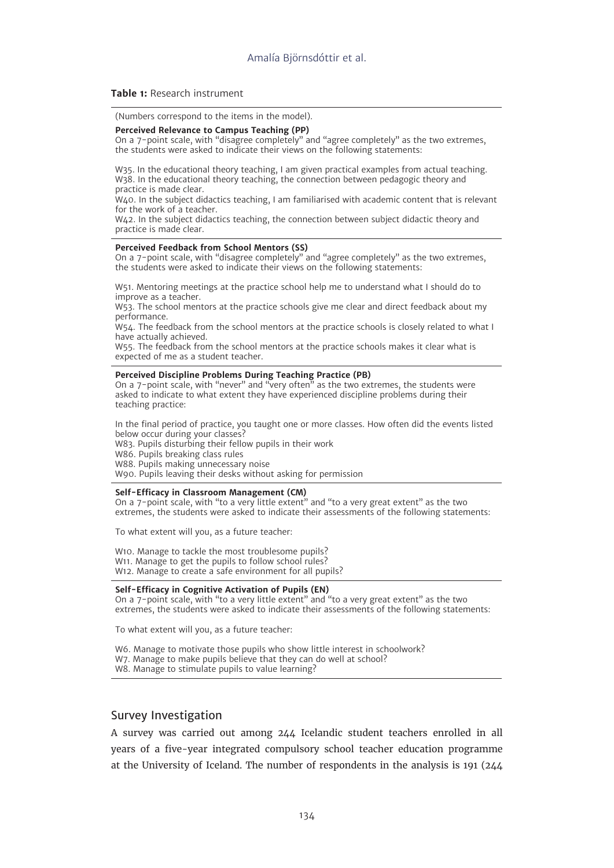#### **Table 1:** Research instrument

(Numbers correspond to the items in the model).

#### **Perceived Relevance to Campus Teaching (PP)**

On a 7-point scale, with "disagree completely" and "agree completely" as the two extremes, the students were asked to indicate their views on the following statements:

W35. In the educational theory teaching, I am given practical examples from actual teaching. W<sub>38</sub>. In the educational theory teaching, the connection between pedagogic theory and practice is made clear.

W40. In the subject didactics teaching, I am familiarised with academic content that is relevant for the work of a teacher.

W42. In the subject didactics teaching, the connection between subject didactic theory and practice is made clear.

#### **Perceived Feedback from School Mentors (SS)**

On a 7-point scale, with "disagree completely" and "agree completely" as the two extremes, the students were asked to indicate their views on the following statements:

W51. Mentoring meetings at the practice school help me to understand what I should do to improve as a teacher.

W53. The school mentors at the practice schools give me clear and direct feedback about my performance.

W54. The feedback from the school mentors at the practice schools is closely related to what I have actually achieved.

W55. The feedback from the school mentors at the practice schools makes it clear what is expected of me as a student teacher.

#### **Perceived Discipline Problems During Teaching Practice (PB)**

On a 7-point scale, with "never" and "very often" as the two extremes, the students were asked to indicate to what extent they have experienced discipline problems during their teaching practice:

In the final period of practice, you taught one or more classes. How often did the events listed below occur during your classes?

W83. Pupils disturbing their fellow pupils in their work

W86. Pupils breaking class rules

W88. Pupils making unnecessary noise

W90. Pupils leaving their desks without asking for permission

#### **Self-Efficacy in Classroom Management (CM)**

On a 7-point scale, with "to a very little extent" and "to a very great extent" as the two extremes, the students were asked to indicate their assessments of the following statements:

To what extent will you, as a future teacher:

W10. Manage to tackle the most troublesome pupils? W11. Manage to get the pupils to follow school rules? W12. Manage to create a safe environment for all pupils?

#### **Self-Efficacy in Cognitive Activation of Pupils (EN)**

On a 7-point scale, with "to a very little extent" and "to a very great extent" as the two extremes, the students were asked to indicate their assessments of the following statements:

To what extent will you, as a future teacher:

W6. Manage to motivate those pupils who show little interest in schoolwork?

W7. Manage to make pupils believe that they can do well at school?

W8. Manage to stimulate pupils to value learning?

#### Survey Investigation

A survey was carried out among 244 Icelandic student teachers enrolled in all years of a five-year integrated compulsory school teacher education programme at the University of Iceland. The number of respondents in the analysis is 191 (244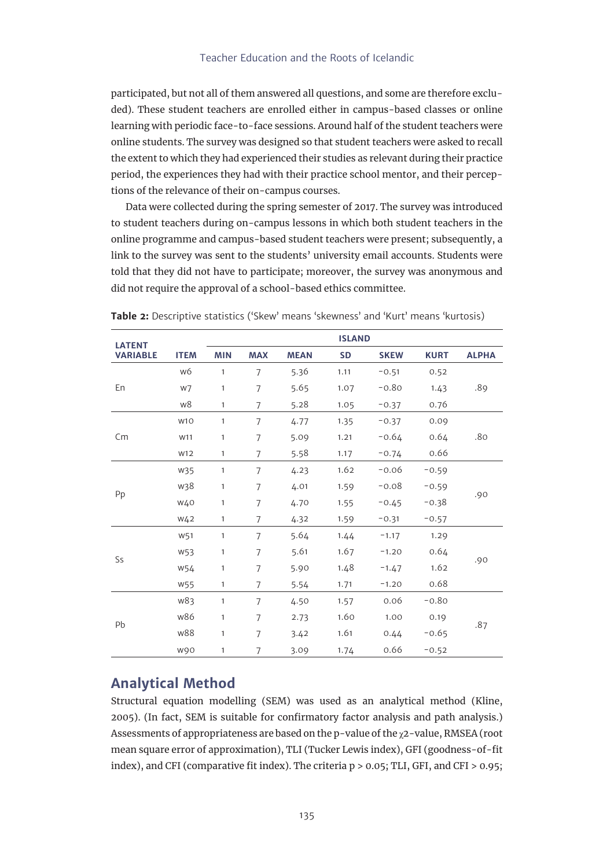participated, but not all of them answered all questions, and some are therefore excluded). These student teachers are enrolled either in campus-based classes or online learning with periodic face-to-face sessions. Around half of the student teachers were online students. The survey was designed so that student teachers were asked to recall the extent to which they had experienced their studies as relevant during their practice period, the experiences they had with their practice school mentor, and their perceptions of the relevance of their on-campus courses.

Data were collected during the spring semester of 2017. The survey was introduced to student teachers during on-campus lessons in which both student teachers in the online programme and campus-based student teachers were present; subsequently, a link to the survey was sent to the students' university email accounts. Students were told that they did not have to participate; moreover, the survey was anonymous and did not require the approval of a school-based ethics committee.

| <b>LATENT</b>   |                 |              | <b>ISLAND</b>  |             |           |             |             |              |  |
|-----------------|-----------------|--------------|----------------|-------------|-----------|-------------|-------------|--------------|--|
| <b>VARIABLE</b> | <b>ITEM</b>     | <b>MIN</b>   | <b>MAX</b>     | <b>MEAN</b> | <b>SD</b> | <b>SKEW</b> | <b>KURT</b> | <b>ALPHA</b> |  |
| En              | w6              | $\mathbf{1}$ | $\overline{7}$ | 5.36        | 1.11      | $-0.51$     | 0.52        |              |  |
|                 | w7              | $\mathbf{1}$ | $\overline{7}$ | 5.65        | 1.07      | $-0.80$     | 1.43        | .89          |  |
|                 | w8              | $\mathbf{1}$ | $\overline{7}$ | 5.28        | 1.05      | $-0.37$     | 0.76        |              |  |
| Cm              | W <sub>10</sub> | $\mathbf{1}$ | 7              | 4.77        | 1.35      | $-0.37$     | 0.09        | .80          |  |
|                 | W11             | $\mathbf{1}$ | $\overline{7}$ | 5.09        | 1.21      | $-0.64$     | 0.64        |              |  |
|                 | W12             | $\mathbf{1}$ | $\overline{7}$ | 5.58        | 1.17      | $-0.74$     | 0.66        |              |  |
| Pp              | W35             | $\mathbf{1}$ | $\overline{7}$ | 4.23        | 1.62      | $-0.06$     | $-0.59$     | .90          |  |
|                 | w38             | $\mathbf{1}$ | 7              | 4.01        | 1.59      | $-0.08$     | $-0.59$     |              |  |
|                 | W40             | $\mathbf{1}$ | 7              | 4.70        | 1.55      | $-0.45$     | $-0.38$     |              |  |
|                 | W <sub>42</sub> | $\mathbf{1}$ | $\overline{7}$ | 4.32        | 1.59      | $-0.31$     | $-0.57$     |              |  |
| Ss              | W51             | $\mathbf{1}$ | 7              | 5.64        | 1.44      | $-1.17$     | 1.29        | .90          |  |
|                 | W53             | $\mathbf{1}$ | $\overline{7}$ | 5.61        | 1.67      | $-1.20$     | 0.64        |              |  |
|                 | W54             | $\mathbf{1}$ | $\overline{7}$ | 5.90        | 1.48      | $-1.47$     | 1.62        |              |  |
|                 | W55             | $\mathbf{1}$ | $\overline{7}$ | 5.54        | 1.71      | $-1.20$     | 0.68        |              |  |
| Pb              | w83             | $\mathbf{1}$ | $\overline{7}$ | 4.50        | 1.57      | 0.06        | $-0.80$     | .87          |  |
|                 | w86             | $\mathbf{1}$ | $\overline{7}$ | 2.73        | 1.60      | 1.00        | 0.19        |              |  |
|                 | w88             | $\mathbf{1}$ | $\overline{7}$ | 3.42        | 1.61      | 0.44        | $-0.65$     |              |  |
|                 | w90             | 1            | 7              | 3.09        | 1.74      | 0.66        | $-0.52$     |              |  |

**Table 2:** Descriptive statistics ('Skew' means 'skewness' and 'Kurt' means 'kurtosis)

## **Analytical Method**

Structural equation modelling (SEM) was used as an analytical method (Kline, 2005). (In fact, SEM is suitable for confirmatory factor analysis and path analysis.) Assessments of appropriateness are based on the p-value of the  $\chi$ 2-value, RMSEA (root mean square error of approximation), TLI (Tucker Lewis index), GFI (goodness-of-fit index), and CFI (comparative fit index). The criteria p > 0.05; TLI, GFI, and CFI > 0.95;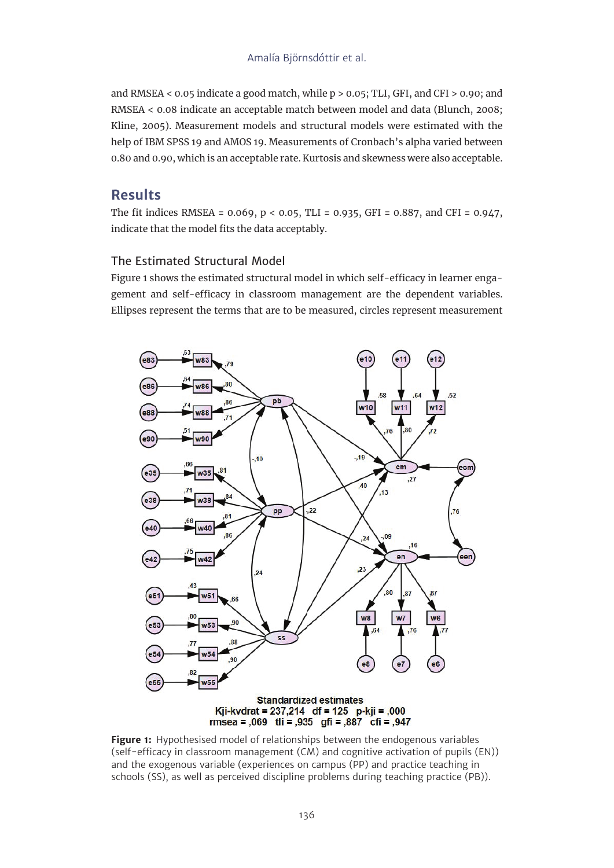and RMSEA < 0.05 indicate a good match, while p > 0.05; TLI, GFI, and CFI > 0.90; and RMSEA < 0.08 indicate an acceptable match between model and data (Blunch, 2008; Kline, 2005). Measurement models and structural models were estimated with the help of IBM SPSS 19 and AMOS 19. Measurements of Cronbach's alpha varied between 0.80 and 0.90, which is an acceptable rate. Kurtosis and skewness were also acceptable.

## **Results**

The fit indices RMSEA = 0.069, p < 0.05, TLI = 0.935, GFI = 0.887, and CFI = 0.947, indicate that the model fits the data acceptably.

## The Estimated Structural Model

Figure 1 shows the estimated structural model in which self-efficacy in learner engagement and self-efficacy in classroom management are the dependent variables. Ellipses represent the terms that are to be measured, circles represent measurement



**Figure 1:** Hypothesised model of relationships between the endogenous variables (self-efficacy in classroom management (CM) and cognitive activation of pupils (EN)) and the exogenous variable (experiences on campus (PP) and practice teaching in schools (SS), as well as perceived discipline problems during teaching practice (PB)).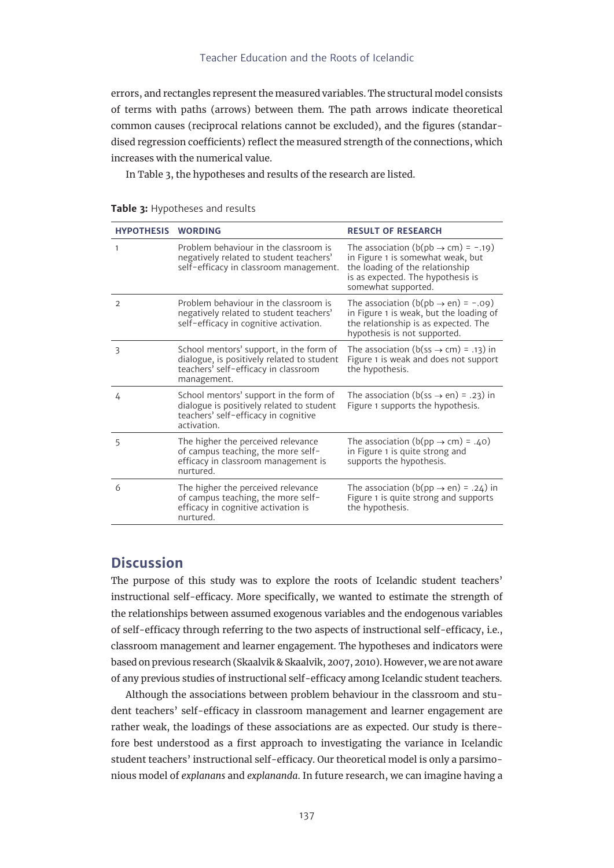errors, and rectangles represent the measured variables. The structural model consists of terms with paths (arrows) between them. The path arrows indicate theoretical common causes (reciprocal relations cannot be excluded), and the figures (standardised regression coefficients) reflect the measured strength of the connections, which increases with the numerical value.

In Table 3, the hypotheses and results of the research are listed.

| <b>HYPOTHESIS</b> | <b>WORDING</b>                                                                                                                               | <b>RESULT OF RESEARCH</b>                                                                                                                                                                 |
|-------------------|----------------------------------------------------------------------------------------------------------------------------------------------|-------------------------------------------------------------------------------------------------------------------------------------------------------------------------------------------|
| $\mathbf{1}$      | Problem behaviour in the classroom is<br>negatively related to student teachers'<br>self-efficacy in classroom management.                   | The association ( $b$ ( $pb \rightarrow cm$ ) = -.19)<br>in Figure 1 is somewhat weak, but<br>the loading of the relationship<br>is as expected. The hypothesis is<br>somewhat supported. |
| $\overline{2}$    | Problem behaviour in the classroom is<br>negatively related to student teachers'<br>self-efficacy in cognitive activation.                   | The association ( $b$ ( $pb \rightarrow en$ ) = -.09)<br>in Figure 1 is weak, but the loading of<br>the relationship is as expected. The<br>hypothesis is not supported.                  |
| 3                 | School mentors' support, in the form of<br>dialogue, is positively related to student<br>teachers' self-efficacy in classroom<br>management. | The association ( $b$ (ss $\rightarrow$ cm) = .13) in<br>Figure 1 is weak and does not support<br>the hypothesis.                                                                         |
| 4                 | School mentors' support in the form of<br>dialogue is positively related to student<br>teachers' self-efficacy in cognitive<br>activation.   | The association (b(ss $\rightarrow$ en) = .23) in<br>Figure 1 supports the hypothesis.                                                                                                    |
| 5                 | The higher the perceived relevance<br>of campus teaching, the more self-<br>efficacy in classroom management is<br>nurtured.                 | The association (b(pp $\rightarrow$ cm) = .40)<br>in Figure 1 is quite strong and<br>supports the hypothesis.                                                                             |
| 6                 | The higher the perceived relevance<br>of campus teaching, the more self-<br>efficacy in cognitive activation is<br>nurtured.                 | The association (b(pp $\rightarrow$ en) = .24) in<br>Figure 1 is quite strong and supports<br>the hypothesis.                                                                             |

#### **Table 3:** Hypotheses and results

## **Discussion**

The purpose of this study was to explore the roots of Icelandic student teachers' instructional self-efficacy. More specifically, we wanted to estimate the strength of the relationships between assumed exogenous variables and the endogenous variables of self-efficacy through referring to the two aspects of instructional self-efficacy, i.e., classroom management and learner engagement. The hypotheses and indicators were based on previous research (Skaalvik & Skaalvik, 2007, 2010). However, we are not aware of any previous studies of instructional self-efficacy among Icelandic student teachers.

Although the associations between problem behaviour in the classroom and student teachers' self-efficacy in classroom management and learner engagement are rather weak, the loadings of these associations are as expected. Our study is therefore best understood as a first approach to investigating the variance in Icelandic student teachers' instructional self-efficacy. Our theoretical model is only a parsimonious model of *explanans* and *explananda*. In future research, we can imagine having a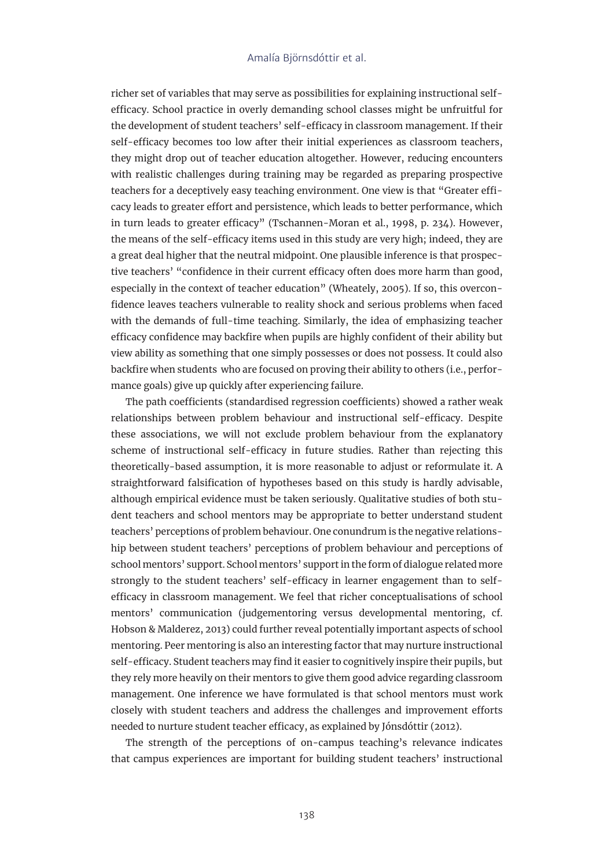richer set of variables that may serve as possibilities for explaining instructional selfefficacy. School practice in overly demanding school classes might be unfruitful for the development of student teachers' self-efficacy in classroom management. If their self-efficacy becomes too low after their initial experiences as classroom teachers, they might drop out of teacher education altogether. However, reducing encounters with realistic challenges during training may be regarded as preparing prospective teachers for a deceptively easy teaching environment. One view is that "Greater efficacy leads to greater effort and persistence, which leads to better performance, which in turn leads to greater efficacy" (Tschannen-Moran et al., 1998, p. 234). However, the means of the self-efficacy items used in this study are very high; indeed, they are a great deal higher that the neutral midpoint. One plausible inference is that prospective teachers' "confidence in their current efficacy often does more harm than good, especially in the context of teacher education" (Wheately, 2005). If so, this overconfidence leaves teachers vulnerable to reality shock and serious problems when faced with the demands of full-time teaching. Similarly, the idea of emphasizing teacher efficacy confidence may backfire when pupils are highly confident of their ability but view ability as something that one simply possesses or does not possess. It could also backfire when students who are focused on proving their ability to others (i.e., performance goals) give up quickly after experiencing failure.

The path coefficients (standardised regression coefficients) showed a rather weak relationships between problem behaviour and instructional self-efficacy. Despite these associations, we will not exclude problem behaviour from the explanatory scheme of instructional self-efficacy in future studies. Rather than rejecting this theoretically-based assumption, it is more reasonable to adjust or reformulate it. A straightforward falsification of hypotheses based on this study is hardly advisable, although empirical evidence must be taken seriously. Qualitative studies of both student teachers and school mentors may be appropriate to better understand student teachers' perceptions of problem behaviour. One conundrum is the negative relationship between student teachers' perceptions of problem behaviour and perceptions of school mentors' support. School mentors' support in the form of dialogue related more strongly to the student teachers' self-efficacy in learner engagement than to selfefficacy in classroom management. We feel that richer conceptualisations of school mentors' communication (judgementoring versus developmental mentoring, cf. Hobson & Malderez, 2013) could further reveal potentially important aspects of school mentoring. Peer mentoring is also an interesting factor that may nurture instructional self-efficacy. Student teachers may find it easier to cognitively inspire their pupils, but they rely more heavily on their mentors to give them good advice regarding classroom management. One inference we have formulated is that school mentors must work closely with student teachers and address the challenges and improvement efforts needed to nurture student teacher efficacy, as explained by Jónsdóttir (2012).

The strength of the perceptions of on-campus teaching's relevance indicates that campus experiences are important for building student teachers' instructional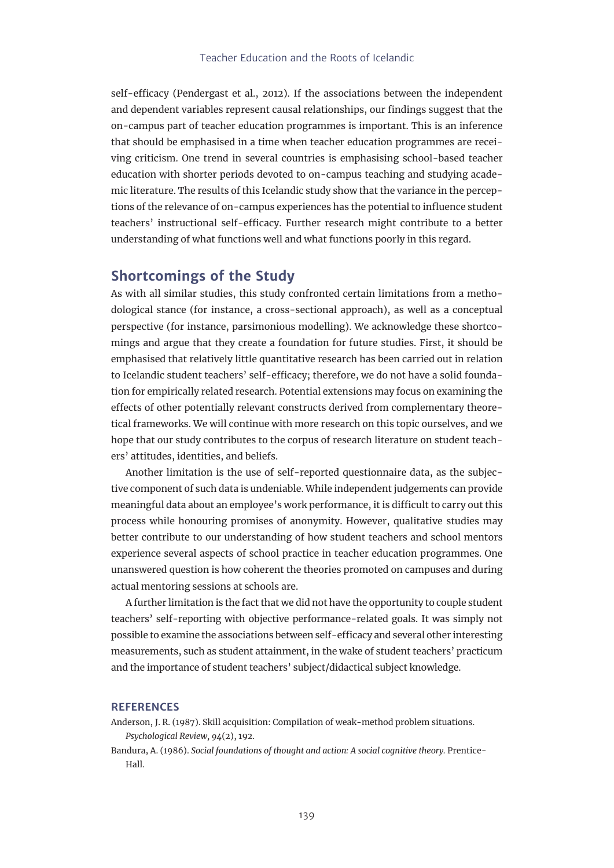self-efficacy (Pendergast et al., 2012). If the associations between the independent and dependent variables represent causal relationships, our findings suggest that the on-campus part of teacher education programmes is important. This is an inference that should be emphasised in a time when teacher education programmes are receiving criticism. One trend in several countries is emphasising school-based teacher education with shorter periods devoted to on-campus teaching and studying academic literature. The results of this Icelandic study show that the variance in the perceptions of the relevance of on-campus experiences has the potential to influence student teachers' instructional self-efficacy. Further research might contribute to a better understanding of what functions well and what functions poorly in this regard.

## **Shortcomings of the Study**

As with all similar studies, this study confronted certain limitations from a methodological stance (for instance, a cross-sectional approach), as well as a conceptual perspective (for instance, parsimonious modelling). We acknowledge these shortcomings and argue that they create a foundation for future studies. First, it should be emphasised that relatively little quantitative research has been carried out in relation to Icelandic student teachers' self-efficacy; therefore, we do not have a solid foundation for empirically related research. Potential extensions may focus on examining the effects of other potentially relevant constructs derived from complementary theoretical frameworks. We will continue with more research on this topic ourselves, and we hope that our study contributes to the corpus of research literature on student teachers' attitudes, identities, and beliefs.

Another limitation is the use of self-reported questionnaire data, as the subjective component of such data is undeniable. While independent judgements can provide meaningful data about an employee's work performance, it is difficult to carry out this process while honouring promises of anonymity. However, qualitative studies may better contribute to our understanding of how student teachers and school mentors experience several aspects of school practice in teacher education programmes. One unanswered question is how coherent the theories promoted on campuses and during actual mentoring sessions at schools are.

A further limitation is the fact that we did not have the opportunity to couple student teachers' self-reporting with objective performance-related goals. It was simply not possible to examine the associations between self-efficacy and several other interesting measurements, such as student attainment, in the wake of student teachers' practicum and the importance of student teachers' subject/didactical subject knowledge.

#### **REFERENCES**

- Anderson, J. R. (1987). Skill acquisition: Compilation of weak-method problem situations. *Psychological Review, 94*(2), 192.
- Bandura, A. (1986). *Social foundations of thought and action: A social cognitive theory.* Prentice-Hall.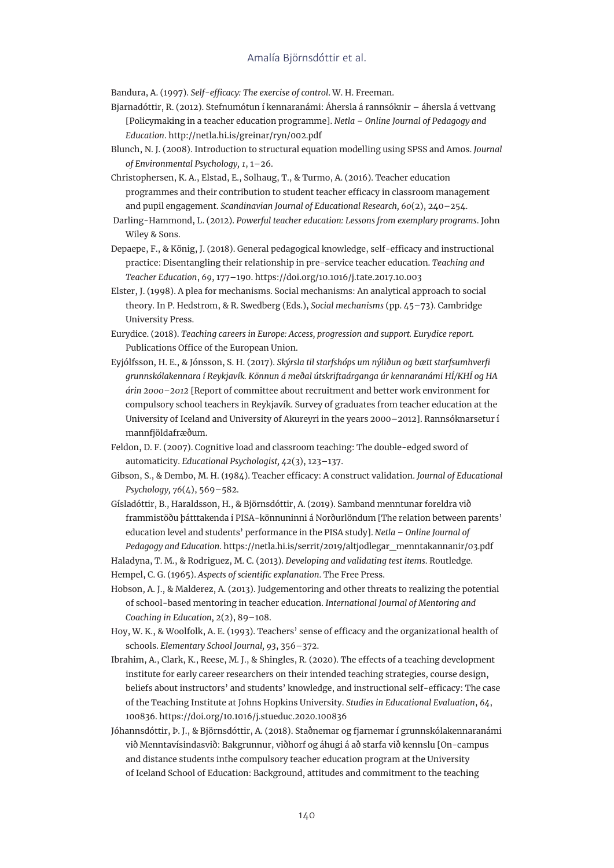Bandura, A. (1997). *Self-efficacy: The exercise of control*. W. H. Freeman.

- Bjarnadóttir, R. (2012). Stefnumótun í kennaranámi: Áhersla á rannsóknir áhersla á vettvang [Policymaking in a teacher education programme]. *Netla – Online Journal of Pedagogy and Education*. <http://netla.hi.is/greinar/ryn/002.pdf>
- Blunch, N. J. (2008). Introduction to structural equation modelling using SPSS and Amos. *Journal of Environmental Psychology, 1*, 1–26.
- Christophersen, K. A., Elstad, E., Solhaug, T., & Turmo, A. (2016). Teacher education programmes and their contribution to student teacher efficacy in classroom management and pupil engagement. *Scandinavian Journal of Educational Research, 60*(2), 240–254.
- Darling-Hammond, L. (2012). *Powerful teacher education: Lessons from exemplary programs*. John Wiley & Sons.
- Depaepe, F., & König, J. (2018). General pedagogical knowledge, self-efficacy and instructional practice: Disentangling their relationship in pre-service teacher education. *Teaching and Teacher Education*, *69*, 177–190. https://doi.org/10.1016/j.tate.2017.10.003
- Elster, J. (1998). A plea for mechanisms. Social mechanisms: An analytical approach to social theory. In P. Hedstrom, & R. Swedberg (Eds.), *Social mechanisms* (pp. 45–73). Cambridge University Press.
- Eurydice. (2018). *Teaching careers in Europe: Access, progression and support. Eurydice report.* Publications Office of the European Union.
- Eyjólfsson, H. E., & Jónsson, S. H. (2017). *Skýrsla til starfshóps um nýliðun og bætt starfsumhverfi grunnskólakennara í Reykjavík. Könnun á meðal útskriftaárganga úr kennaranámi HÍ/KHÍ og HA árin 2000–2012* [Report of committee about recruitment and better work environment for compulsory school teachers in Reykjavík. Survey of graduates from teacher education at the University of Iceland and University of Akureyri in the years 2000–2012]. Rannsóknarsetur í mannfjöldafræðum.
- Feldon, D. F. (2007). Cognitive load and classroom teaching: The double-edged sword of automaticity. *Educational Psychologist, 42*(3), 123–137.
- Gibson, S., & Dembo, M. H. (1984). Teacher efficacy: A construct validation. *Journal of Educational Psychology, 76*(4), 569–582.
- Gísladóttir, B., Haraldsson, H., & Björnsdóttir, A. (2019). Samband menntunar foreldra við frammistöðu þátttakenda í PISA-könnuninni á Norðurlöndum [The relation between parents' education level and students' performance in the PISA study]. *Netla – Online Journal of Pedagogy and Education*. [https://netla.hi.is/serrit/2019/altjodlegar\\_menntakannanir/03.pdf](https://netla.hi.is/serrit/2019/altjodlegar_menntakannanir/03.pdf)

Haladyna, T. M., & Rodriguez, M. C. (2013). *Developing and validating test items*. Routledge.

- Hempel, C. G. (1965). *Aspects of scientific explanation*. The Free Press.
- Hobson, A. J., & Malderez, A. (2013). Judgementoring and other threats to realizing the potential of school-based mentoring in teacher education. *International Journal of Mentoring and Coaching in Education, 2*(2), 89–108.
- Hoy, W. K., & Woolfolk, A. E. (1993). Teachers' sense of efficacy and the organizational health of schools. *Elementary School Journal, 93*, 356–372.
- Ibrahim, A., Clark, K., Reese, M. J., & Shingles, R. (2020). The effects of a teaching development institute for early career researchers on their intended teaching strategies, course design, beliefs about instructors' and students' knowledge, and instructional self-efficacy: The case of the Teaching Institute at Johns Hopkins University. *Studies in Educational Evaluation*, *64*, 100836. https://doi.org/10.1016/j.stueduc.2020.100836
- Jóhannsdóttir, Þ. J., & Björnsdóttir, A. (2018). Staðnemar og fjarnemar í grunnskólakennaranámi við Menntavísindasvið: Bakgrunnur, viðhorf og áhugi á að starfa við kennslu [On-campus and distance students inthe compulsory teacher education program at the University of Iceland School of Education: Background, attitudes and commitment to the teaching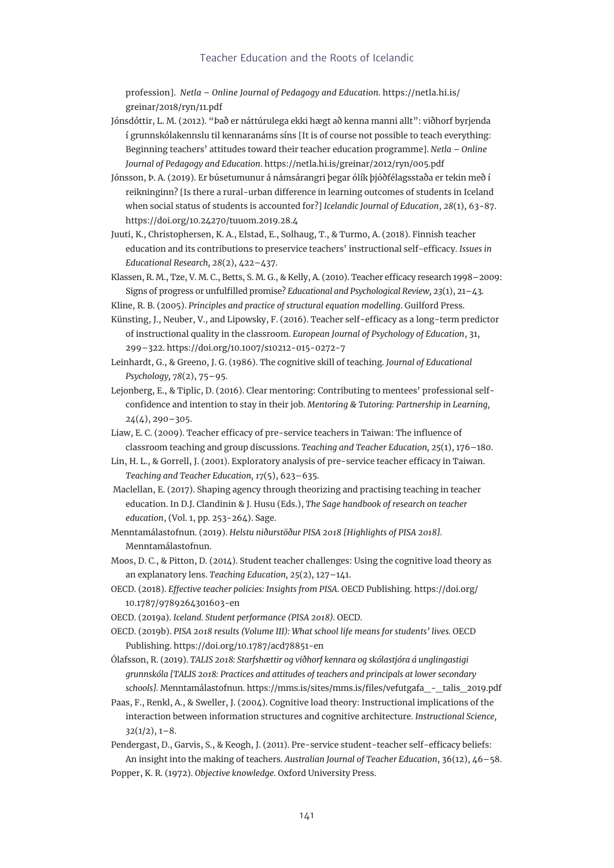#### Teacher Education and the Roots of Icelandic

profession]. *Netla – Online Journal of Pedagogy and Education.* [https://netla.hi.is/](https://netla.hi.is/greinar/2018/ryn/11.pdf) [greinar/2018/ryn/11.pdf](https://netla.hi.is/greinar/2018/ryn/11.pdf)

- Jónsdóttir, L. M. (2012). "Það er náttúrulega ekki hægt að kenna manni allt": viðhorf byrjenda í grunnskólakennslu til kennaranáms síns [It is of course not possible to teach everything: Beginning teachers' attitudes toward their teacher education programme]. *Netla – Online Journal of Pedagogy and Education*. https://netla.hi.is/greinar/2012/ryn/005.pdf
- Jónsson, Þ. A. (2019). Er búsetumunur á námsárangri þegar ólík þjóðfélagsstaða er tekin með í reikninginn? [Is there a rural-urban difference in learning outcomes of students in Iceland when social status of students is accounted for?] *Icelandic Journal of Education*, *28*(1), 63−87. <https://doi.org/10.24270/tuuom.2019.28.4>
- Juuti, K., Christophersen, K. A., Elstad, E., Solhaug, T., & Turmo, A. (2018). Finnish teacher education and its contributions to preservice teachers' instructional self-efficacy. *Issues in Educational Research, 28*(2), 422–437.
- Klassen, R. M., Tze, V. M. C., Betts, S. M. G., & Kelly, A. (2010). Teacher efficacy research 1998–2009: Signs of progress or unfulfilled promise? *Educational and Psychological Review, 23*(1), 21–43.
- Kline, R. B. (2005). *Principles and practice of structural equation modelling*. Guilford Press.
- Künsting, J., Neuber, V., and Lipowsky, F. (2016). Teacher self-efficacy as a long-term predictor of instructional quality in the classroom. *European Journal of Psychology of Education*, 31, 299–322. https://doi.org/10.1007/s10212-015-0272-7
- Leinhardt, G., & Greeno, J. G. (1986). The cognitive skill of teaching. *Journal of Educational Psychology, 78*(2), 75–95.
- Lejonberg, E., & Tiplic, D. (2016). Clear mentoring: Contributing to mentees' professional selfconfidence and intention to stay in their job. *Mentoring & Tutoring: Partnership in Learning, 24*(4), 290–305.
- Liaw, E. C. (2009). Teacher efficacy of pre-service teachers in Taiwan: The influence of classroom teaching and group discussions. *Teaching and Teacher Education, 25*(1), 176–180.
- Lin, H. L., & Gorrell, J. (2001). Exploratory analysis of pre-service teacher efficacy in Taiwan. *Teaching and Teacher Education, 17*(5), 623–635.
- Maclellan, E. (2017). Shaping agency through theorizing and practising teaching in teacher education. In D.J. Clandinin & J. Husu (Eds.), *The Sage handbook of research on teacher education*, (Vol. 1, pp. 253-264). Sage.
- Menntamálastofnun. (2019). *Helstu niðurstöður PISA 2018 [Highlights of PISA 2018].* Menntamálastofnun.
- Moos, D. C., & Pitton, D. (2014). Student teacher challenges: Using the cognitive load theory as an explanatory lens. *Teaching Education, 25*(2), 127–141.
- OECD. (2018). *Effective teacher policies: Insights from PISA*. OECD Publishing. [https://doi.org/](https://doi.org/10.1787/9789264301603-en) [10.1787/9789264301603-en](https://doi.org/10.1787/9789264301603-en)
- OECD. (2019a). *Iceland. Student performance (PISA 2018).* OECD.
- OECD. (2019b). *PISA 2018 results (Volume III): What school life means for students' lives.* OECD Publishing. https://doi.org/10.1787/acd78851-en
- Ólafsson, R. (2019). *TALIS 2018: Starfshættir og viðhorf kennara og skólastjóra á unglingastigi grunnskóla [TALIS 2018: Practices and attitudes of teachers and principals at lower secondary schools].* Menntamálastofnun. [https://mms.is/sites/mms.is/files/vefutgafa\\_-\\_talis\\_2019.pdf](https://mms.is/sites/mms.is/files/vefutgafa_-_talis_2019.pdf)
- Paas, F., Renkl, A., & Sweller, J. (2004). Cognitive load theory: Instructional implications of the interaction between information structures and cognitive architecture. *Instructional Science, 32*(1/2), 1–8.
- Pendergast, D., Garvis, S., & Keogh, J. (2011). Pre-service student-teacher self-efficacy beliefs: An insight into the making of teachers. *Australian Journal of Teacher Education*, 36(12), 46–58. Popper, K. R. (1972). *Objective knowledge*. Oxford University Press.